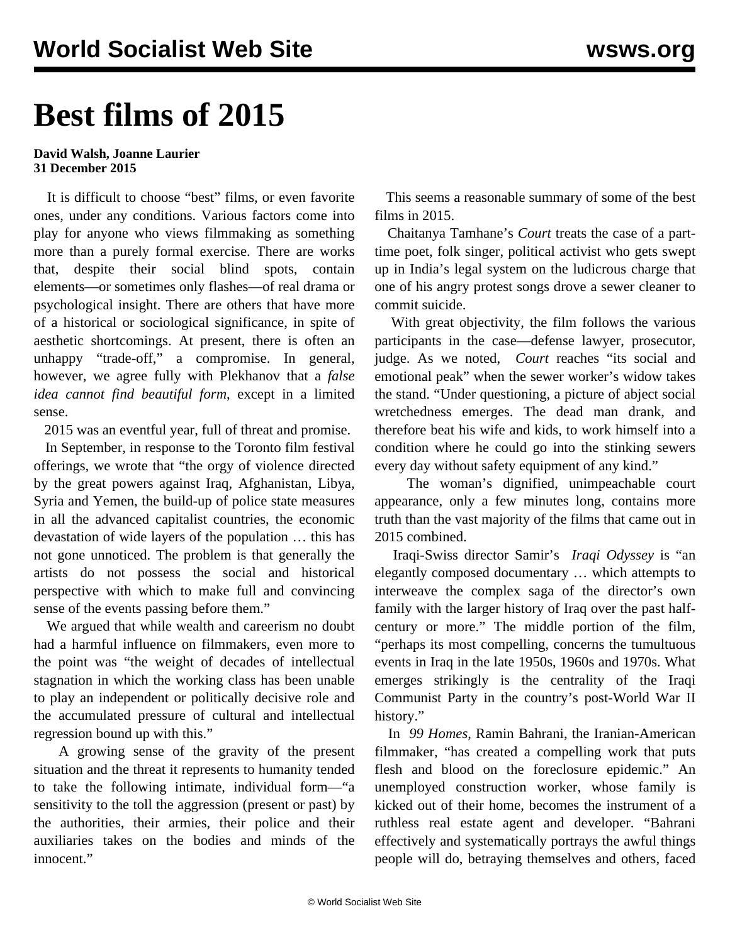## **Best films of 2015**

## **David Walsh, Joanne Laurier 31 December 2015**

 It is difficult to choose "best" films, or even favorite ones, under any conditions. Various factors come into play for anyone who views filmmaking as something more than a purely formal exercise. There are works that, despite their social blind spots, contain elements—or sometimes only flashes—of real drama or psychological insight. There are others that have more of a historical or sociological significance, in spite of aesthetic shortcomings. At present, there is often an unhappy "trade-off," a compromise. In general, however, we agree fully with Plekhanov that a *false idea cannot find beautiful form*, except in a limited sense.

2015 was an eventful year, full of threat and promise.

 In September, in response to the Toronto film festival offerings, we wrote that "the orgy of violence directed by the great powers against Iraq, Afghanistan, Libya, Syria and Yemen, the build-up of police state measures in all the advanced capitalist countries, the economic devastation of wide layers of the population … this has not gone unnoticed. The problem is that generally the artists do not possess the social and historical perspective with which to make full and convincing sense of the events passing before them."

 We argued that while wealth and careerism no doubt had a harmful influence on filmmakers, even more to the point was "the weight of decades of intellectual stagnation in which the working class has been unable to play an independent or politically decisive role and the accumulated pressure of cultural and intellectual regression bound up with this."

 A growing sense of the gravity of the present situation and the threat it represents to humanity tended to take the following intimate, individual form—"a sensitivity to the toll the aggression (present or past) by the authorities, their armies, their police and their auxiliaries takes on the bodies and minds of the innocent."

 This seems a reasonable summary of some of the best films in 2015.

 Chaitanya Tamhane's *Court* treats the case of a parttime poet, folk singer, political activist who gets swept up in India's legal system on the ludicrous charge that one of his angry protest songs drove a sewer cleaner to commit suicide.

 With great objectivity, the film follows the various participants in the case—defense lawyer, prosecutor, judge. As we noted, *[Court](/en/articles/2015/03/20/fic2-m20.html)* reaches "its social and emotional peak" when the sewer worker's widow takes the stand. "Under questioning, a picture of abject social wretchedness emerges. The dead man drank, and therefore beat his wife and kids, to work himself into a condition where he could go into the stinking sewers every day without safety equipment of any kind."

 The woman's dignified, unimpeachable court appearance, only a few minutes long, contains more truth than the vast majority of the films that came out in 2015 combined.

 Iraqi-Swiss director Samir's *[Iraqi Odyssey](/en/articles/2015/11/27/iraq-n27.html)* is "an elegantly composed documentary … which attempts to interweave the complex saga of the director's own family with the larger history of Iraq over the past halfcentury or more." The middle portion of the film, "perhaps its most compelling, concerns the tumultuous events in Iraq in the late 1950s, 1960s and 1970s. What emerges strikingly is the centrality of the Iraqi Communist Party in the country's post-World War II history."

 In *[99 Homes](/en/articles/2015/09/24/home-s24.html)*, Ramin Bahrani, the Iranian-American filmmaker, "has created a compelling work that puts flesh and blood on the foreclosure epidemic." An unemployed construction worker, whose family is kicked out of their home, becomes the instrument of a ruthless real estate agent and developer. "Bahrani effectively and systematically portrays the awful things people will do, betraying themselves and others, faced